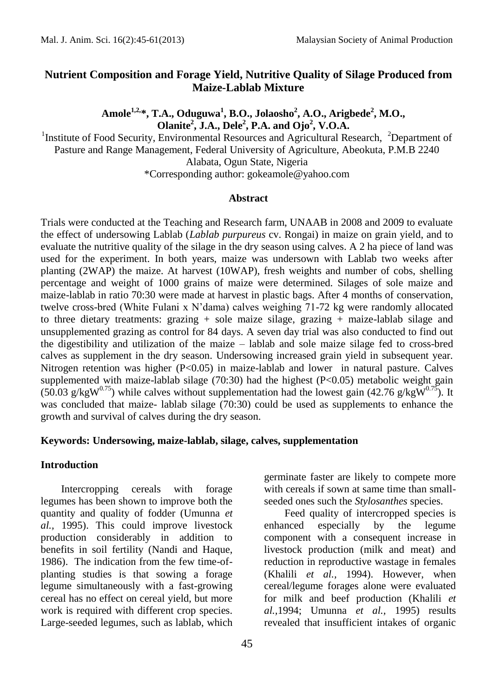## **Nutrient Composition and Forage Yield, Nutritive Quality of Silage Produced from Maize-Lablab Mixture**

**Amole1,2,\*, T.A., Oduguwa<sup>1</sup> , B.O., Jolaosho<sup>2</sup> , A.O., Arigbede<sup>2</sup> , M.O., Olanite<sup>2</sup> , J.A., Dele<sup>2</sup> , P.A. and Ojo<sup>2</sup> , V.O.A.** 

<sup>1</sup>Institute of Food Security, Environmental Resources and Agricultural Research, <sup>2</sup>Department of Pasture and Range Management, Federal University of Agriculture, Abeokuta, P.M.B 2240 Alabata, Ogun State, Nigeria

\*Corresponding author: gokeamole@yahoo.com

### **Abstract**

Trials were conducted at the Teaching and Research farm, UNAAB in 2008 and 2009 to evaluate the effect of undersowing Lablab (*Lablab purpureus* cv. Rongai) in maize on grain yield, and to evaluate the nutritive quality of the silage in the dry season using calves. A 2 ha piece of land was used for the experiment. In both years, maize was undersown with Lablab two weeks after planting (2WAP) the maize. At harvest (10WAP), fresh weights and number of cobs, shelling percentage and weight of 1000 grains of maize were determined. Silages of sole maize and maize-lablab in ratio 70:30 were made at harvest in plastic bags. After 4 months of conservation, twelve cross-bred (White Fulani x N'dama) calves weighing 71-72 kg were randomly allocated to three dietary treatments: grazing  $+$  sole maize silage, grazing  $+$  maize-lablab silage and unsupplemented grazing as control for 84 days. A seven day trial was also conducted to find out the digestibility and utilization of the maize – lablab and sole maize silage fed to cross-bred calves as supplement in the dry season. Undersowing increased grain yield in subsequent year. Nitrogen retention was higher  $(P< 0.05)$  in maize-lablab and lower in natural pasture. Calves supplemented with maize-lablab silage  $(70:30)$  had the highest  $(P<0.05)$  metabolic weight gain (50.03 g/kgW<sup>0.75</sup>) while calves without supplementation had the lowest gain (42.76 g/kgW<sup>0.75</sup>). It was concluded that maize- lablab silage (70:30) could be used as supplements to enhance the growth and survival of calves during the dry season.

### **Keywords: Undersowing, maize-lablab, silage, calves, supplementation**

### **Introduction**

Intercropping cereals with forage legumes has been shown to improve both the quantity and quality of fodder (Umunna *et al.,* 1995). This could improve livestock production considerably in addition to benefits in soil fertility (Nandi and Haque, 1986). The indication from the few time-ofplanting studies is that sowing a forage legume simultaneously with a fast-growing cereal has no effect on cereal yield, but more work is required with different crop species. Large-seeded legumes, such as lablab, which

germinate faster are likely to compete more with cereals if sown at same time than smallseeded ones such the *Stylosanthes* species.

Feed quality of intercropped species is enhanced especially by the legume component with a consequent increase in livestock production (milk and meat) and reduction in reproductive wastage in females (Khalili *et al.,* 1994). However, when cereal/legume forages alone were evaluated for milk and beef production (Khalili *et al.,*1994; Umunna *et al.,* 1995) results revealed that insufficient intakes of organic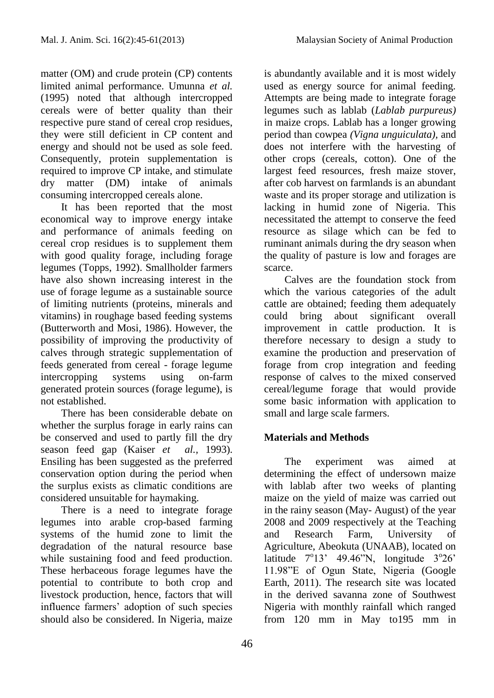matter (OM) and crude protein (CP) contents limited animal performance. Umunna *et al.* (1995) noted that although intercropped cereals were of better quality than their respective pure stand of cereal crop residues, they were still deficient in CP content and energy and should not be used as sole feed. Consequently, protein supplementation is required to improve CP intake, and stimulate dry matter (DM) intake of animals consuming intercropped cereals alone.

It has been reported that the most economical way to improve energy intake and performance of animals feeding on cereal crop residues is to supplement them with good quality forage, including forage legumes (Topps, 1992). Smallholder farmers have also shown increasing interest in the use of forage legume as a sustainable source of limiting nutrients (proteins, minerals and vitamins) in roughage based feeding systems (Butterworth and Mosi, 1986). However, the possibility of improving the productivity of calves through strategic supplementation of feeds generated from cereal - forage legume intercropping systems using on-farm generated protein sources (forage legume), is not established.

There has been considerable debate on whether the surplus forage in early rains can be conserved and used to partly fill the dry season feed gap (Kaiser *et al.,* 1993). Ensiling has been suggested as the preferred conservation option during the period when the surplus exists as climatic conditions are considered unsuitable for haymaking.

There is a need to integrate forage legumes into arable crop-based farming systems of the humid zone to limit the degradation of the natural resource base while sustaining food and feed production. These herbaceous forage legumes have the potential to contribute to both crop and livestock production, hence, factors that will influence farmers' adoption of such species should also be considered. In Nigeria, maize

is abundantly available and it is most widely used as energy source for animal feeding. Attempts are being made to integrate forage legumes such as lablab (*Lablab purpureus)*  in maize crops. Lablab has a longer growing period than cowpea *(Vigna unguiculata),* and does not interfere with the harvesting of other crops (cereals, cotton). One of the largest feed resources, fresh maize stover, after cob harvest on farmlands is an abundant waste and its proper storage and utilization is lacking in humid zone of Nigeria. This necessitated the attempt to conserve the feed resource as silage which can be fed to ruminant animals during the dry season when the quality of pasture is low and forages are scarce.

Calves are the foundation stock from which the various categories of the adult cattle are obtained; feeding them adequately could bring about significant overall improvement in cattle production. It is therefore necessary to design a study to examine the production and preservation of forage from crop integration and feeding response of calves to the mixed conserved cereal/legume forage that would provide some basic information with application to small and large scale farmers.

# **Materials and Methods**

The experiment was aimed at determining the effect of undersown maize with lablab after two weeks of planting maize on the yield of maize was carried out in the rainy season (May- August) of the year 2008 and 2009 respectively at the Teaching and Research Farm, University of Agriculture, Abeokuta (UNAAB), located on latitude  $7^{\circ}13'$  49.46"N, longitude  $3^{\circ}26'$ 11.98"E of Ogun State, Nigeria (Google Earth, 2011). The research site was located in the derived savanna zone of Southwest Nigeria with monthly rainfall which ranged from 120 mm in May to195 mm in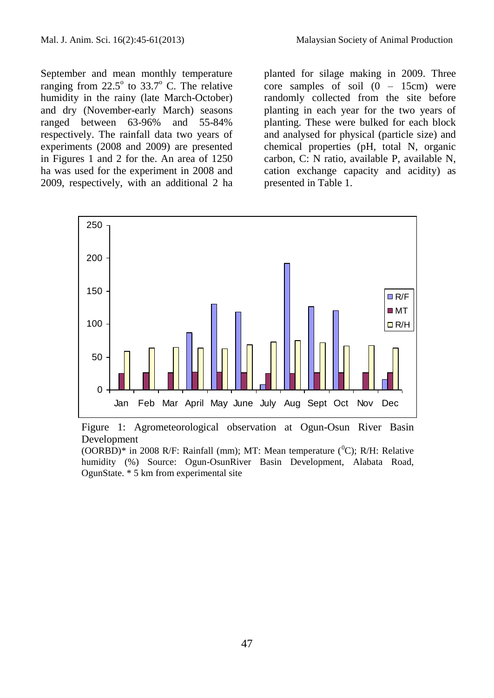September and mean monthly temperature ranging from  $22.5^{\circ}$  to  $33.7^{\circ}$  C. The relative humidity in the rainy (late March-October) and dry (November-early March) seasons ranged between 63-96% and 55-84% respectively. The rainfall data two years of experiments (2008 and 2009) are presented in Figures 1 and 2 for the. An area of 1250 ha was used for the experiment in 2008 and 2009, respectively, with an additional 2 ha planted for silage making in 2009. Three core samples of soil  $(0 - 15cm)$  were randomly collected from the site before planting in each year for the two years of planting. These were bulked for each block and analysed for physical (particle size) and chemical properties (pH, total N, organic carbon, C: N ratio, available P, available N, cation exchange capacity and acidity) as presented in Table 1.



Figure 1: Agrometeorological observation at Ogun-Osun River Basin Development

(OORBD)\* in 2008 R/F: Rainfall (mm); MT: Mean temperature ( ${}^{0}C$ ); R/H: Relative humidity (%) Source: Ogun-OsunRiver Basin Development, Alabata Road, OgunState. \* 5 km from experimental site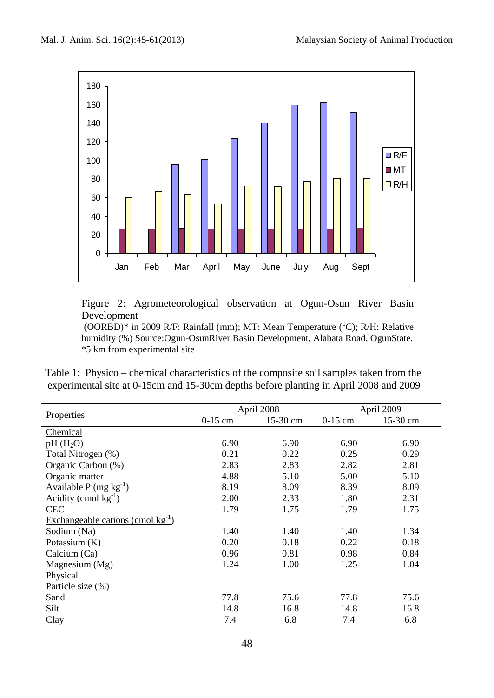

Figure 2: Agrometeorological observation at Ogun-Osun River Basin Development

(OORBD)\* in 2009 R/F: Rainfall (mm); MT: Mean Temperature ( $^0C$ ); R/H: Relative humidity (%) Source:Ogun-OsunRiver Basin Development, Alabata Road, OgunState. \*5 km from experimental site

Table 1: Physico – chemical characteristics of the composite soil samples taken from the experimental site at 0-15cm and 15-30cm depths before planting in April 2008 and 2009

|                                        |           | April 2008 | April 2009 |            |
|----------------------------------------|-----------|------------|------------|------------|
| Properties                             | $0-15$ cm | 15-30 cm   | $0-15$ cm  | $15-30$ cm |
| Chemical                               |           |            |            |            |
| pH(H <sub>2</sub> O)                   | 6.90      | 6.90       | 6.90       | 6.90       |
| Total Nitrogen (%)                     | 0.21      | 0.22       | 0.25       | 0.29       |
| Organic Carbon (%)                     | 2.83      | 2.83       | 2.82       | 2.81       |
| Organic matter                         | 4.88      | 5.10       | 5.00       | 5.10       |
| Available P (mg $kg^{-1}$ )            | 8.19      | 8.09       | 8.39       | 8.09       |
| Acidity (cmol $kg^{-1}$ )              | 2.00      | 2.33       | 1.80       | 2.31       |
| <b>CEC</b>                             | 1.79      | 1.75       | 1.79       | 1.75       |
| Exchangeable cations (cmol $kg^{-1}$ ) |           |            |            |            |
| Sodium (Na)                            | 1.40      | 1.40       | 1.40       | 1.34       |
| Potassium (K)                          | 0.20      | 0.18       | 0.22       | 0.18       |
| Calcium (Ca)                           | 0.96      | 0.81       | 0.98       | 0.84       |
| Magnesium (Mg)                         | 1.24      | 1.00       | 1.25       | 1.04       |
| Physical                               |           |            |            |            |
| Particle size (%)                      |           |            |            |            |
| Sand                                   | 77.8      | 75.6       | 77.8       | 75.6       |
| Silt                                   | 14.8      | 16.8       | 14.8       | 16.8       |
| Clay                                   | 7.4       | 6.8        | 7.4        | 6.8        |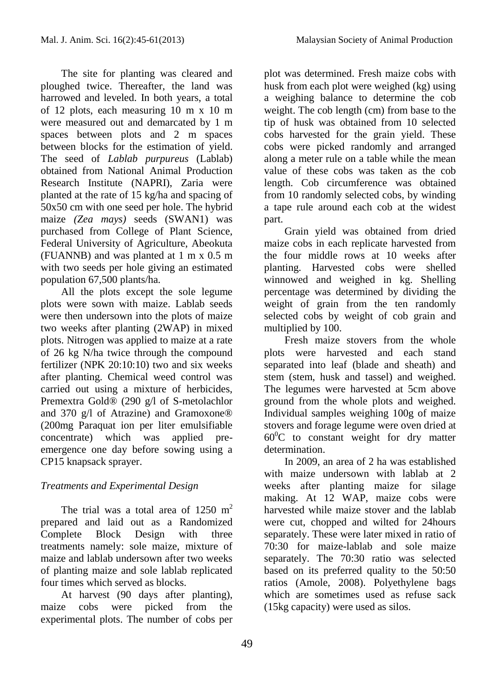The site for planting was cleared and ploughed twice. Thereafter, the land was harrowed and leveled. In both years, a total of 12 plots, each measuring 10 m x 10 m were measured out and demarcated by 1 m spaces between plots and 2 m spaces between blocks for the estimation of yield. The seed of *Lablab purpureus* (Lablab) obtained from National Animal Production Research Institute (NAPRI), Zaria were planted at the rate of 15 kg/ha and spacing of 50x50 cm with one seed per hole. The hybrid maize *(Zea mays)* seeds (SWAN1) was purchased from College of Plant Science, Federal University of Agriculture, Abeokuta (FUANNB) and was planted at 1 m x 0.5 m with two seeds per hole giving an estimated population 67,500 plants/ha.

All the plots except the sole legume plots were sown with maize. Lablab seeds were then undersown into the plots of maize two weeks after planting (2WAP) in mixed plots. Nitrogen was applied to maize at a rate of 26 kg N/ha twice through the compound fertilizer (NPK 20:10:10) two and six weeks after planting. Chemical weed control was carried out using a mixture of herbicides, Premextra Gold® (290 g/l of S-metolachlor and 370 g/l of Atrazine) and Gramoxone® (200mg Paraquat ion per liter emulsifiable concentrate) which was applied preemergence one day before sowing using a CP15 knapsack sprayer.

# *Treatments and Experimental Design*

The trial was a total area of  $1250 \text{ m}^2$ prepared and laid out as a Randomized Complete Block Design with three treatments namely: sole maize, mixture of maize and lablab undersown after two weeks of planting maize and sole lablab replicated four times which served as blocks.

At harvest (90 days after planting), maize cobs were picked from the experimental plots. The number of cobs per plot was determined. Fresh maize cobs with husk from each plot were weighed (kg) using a weighing balance to determine the cob weight. The cob length (cm) from base to the tip of husk was obtained from 10 selected cobs harvested for the grain yield. These cobs were picked randomly and arranged along a meter rule on a table while the mean value of these cobs was taken as the cob length. Cob circumference was obtained from 10 randomly selected cobs, by winding a tape rule around each cob at the widest part.

Grain yield was obtained from dried maize cobs in each replicate harvested from the four middle rows at 10 weeks after planting. Harvested cobs were shelled winnowed and weighed in kg. Shelling percentage was determined by dividing the weight of grain from the ten randomly selected cobs by weight of cob grain and multiplied by 100.

Fresh maize stovers from the whole plots were harvested and each stand separated into leaf (blade and sheath) and stem (stem, husk and tassel) and weighed. The legumes were harvested at 5cm above ground from the whole plots and weighed. Individual samples weighing 100g of maize stovers and forage legume were oven dried at  $60^{\circ}$ C to constant weight for dry matter determination.

In 2009, an area of 2 ha was established with maize undersown with lablab at 2 weeks after planting maize for silage making. At 12 WAP, maize cobs were harvested while maize stover and the lablab were cut, chopped and wilted for 24hours separately. These were later mixed in ratio of 70:30 for maize-lablab and sole maize separately. The 70:30 ratio was selected based on its preferred quality to the 50:50 ratios (Amole, 2008). Polyethylene bags which are sometimes used as refuse sack (15kg capacity) were used as silos.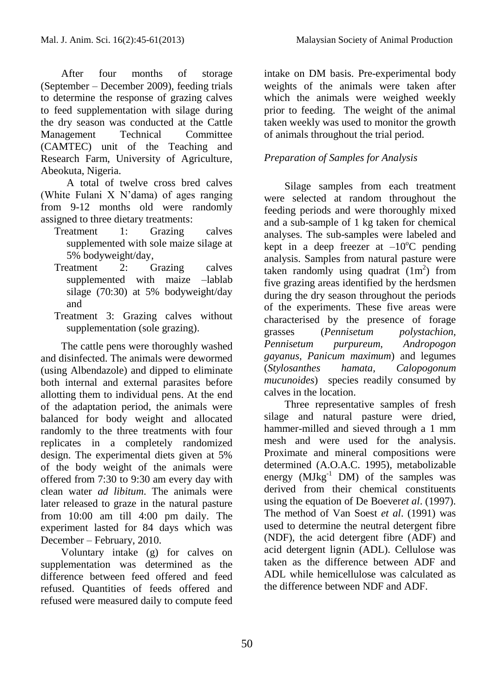After four months of storage (September – December 2009), feeding trials to determine the response of grazing calves to feed supplementation with silage during the dry season was conducted at the Cattle Management Technical Committee (CAMTEC) unit of the Teaching and Research Farm, University of Agriculture, Abeokuta, Nigeria.

A total of twelve cross bred calves (White Fulani X N'dama) of ages ranging from 9-12 months old were randomly assigned to three dietary treatments:

- Treatment 1: Grazing calves supplemented with sole maize silage at 5% bodyweight/day,
- Treatment 2: Grazing calves supplemented with maize –lablab silage (70:30) at 5% bodyweight/day and
- Treatment 3: Grazing calves without supplementation (sole grazing).

The cattle pens were thoroughly washed and disinfected. The animals were dewormed (using Albendazole) and dipped to eliminate both internal and external parasites before allotting them to individual pens. At the end of the adaptation period, the animals were balanced for body weight and allocated randomly to the three treatments with four replicates in a completely randomized design. The experimental diets given at 5% of the body weight of the animals were offered from 7:30 to 9:30 am every day with clean water *ad libitum*. The animals were later released to graze in the natural pasture from 10:00 am till 4:00 pm daily. The experiment lasted for 84 days which was December – February, 2010.

Voluntary intake (g) for calves on supplementation was determined as the difference between feed offered and feed refused. Quantities of feeds offered and refused were measured daily to compute feed intake on DM basis. Pre-experimental body weights of the animals were taken after which the animals were weighed weekly prior to feeding. The weight of the animal taken weekly was used to monitor the growth of animals throughout the trial period.

# *Preparation of Samples for Analysis*

Silage samples from each treatment were selected at random throughout the feeding periods and were thoroughly mixed and a sub-sample of 1 kg taken for chemical analyses. The sub-samples were labeled and kept in a deep freezer at  $-10^{\circ}$ C pending analysis. Samples from natural pasture were taken randomly using quadrat  $(1m^2)$  from five grazing areas identified by the herdsmen during the dry season throughout the periods of the experiments. These five areas were characterised by the presence of forage grasses (*Pennisetum polystachion, Pennisetum purpureum, Andropogon gayanus, Panicum maximum*) and legumes (*Stylosanthes hamata, Calopogonum mucunoides*) species readily consumed by calves in the location.

Three representative samples of fresh silage and natural pasture were dried, hammer-milled and sieved through a 1 mm mesh and were used for the analysis. Proximate and mineral compositions were determined (A.O.A.C. 1995), metabolizable energy  $(MJkg^{-1}$  DM) of the samples was derived from their chemical constituents using the equation of De Boever*et al*. (1997). The method of Van Soest *et al*. (1991) was used to determine the neutral detergent fibre (NDF), the acid detergent fibre (ADF) and acid detergent lignin (ADL). Cellulose was taken as the difference between ADF and ADL while hemicellulose was calculated as the difference between NDF and ADF.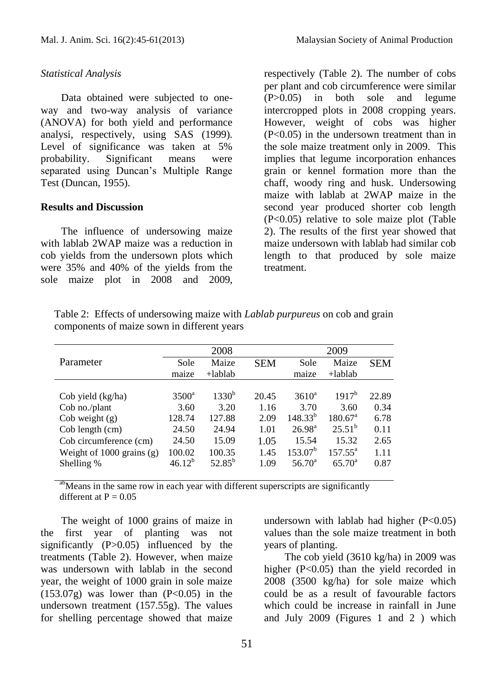### *Statistical Analysis*

Data obtained were subjected to oneway and two-way analysis of variance (ANOVA) for both yield and performance analysi, respectively, using SAS (1999). Level of significance was taken at 5% probability. Significant means were separated using Duncan's Multiple Range Test (Duncan, 1955).

## **Results and Discussion**

The influence of undersowing maize with lablab 2WAP maize was a reduction in cob yields from the undersown plots which were 35% and 40% of the yields from the sole maize plot in 2008 and 2009,

respectively (Table 2). The number of cobs per plant and cob circumference were similar (P>0.05) in both sole and legume intercropped plots in 2008 cropping years. However, weight of cobs was higher (P<0.05) in the undersown treatment than in the sole maize treatment only in 2009. This implies that legume incorporation enhances grain or kennel formation more than the chaff, woody ring and husk. Undersowing maize with lablab at 2WAP maize in the second year produced shorter cob length (P<0.05) relative to sole maize plot (Table 2). The results of the first year showed that maize undersown with lablab had similar cob length to that produced by sole maize treatment.

Table 2: Effects of undersowing maize with *Lablab purpureus* on cob and grain components of maize sown in different years

|                             | 2008           |             |            | 2009               |                     |            |
|-----------------------------|----------------|-------------|------------|--------------------|---------------------|------------|
| Parameter                   | Sole           | Maize       | <b>SEM</b> | Sole               | Maize               | <b>SEM</b> |
|                             | maize          | $+$ lablab  |            | maize              | $+$ lablab          |            |
|                             |                |             |            |                    |                     |            |
| Cob yield (kg/ha)           | $3500^{\circ}$ | $1330^{b}$  | 20.45      | $3610^a$           | $1917^{b}$          | 22.89      |
| Cob no./plant               | 3.60           | 3.20        | 1.16       | 3.70               | 3.60                | 0.34       |
| Cob weight $(g)$            | 128.74         | 127.88      | 2.09       | $148.33^{b}$       | $180.67^{\text{a}}$ | 6.78       |
| Cob length (cm)             | 24.50          | 24.94       | 1.01       | $26.98^{\text{a}}$ | $25.51^b$           | 0.11       |
| Cob circumference (cm)      | 24.50          | 15.09       | 1.05       | 15.54              | 15.32               | 2.65       |
| Weight of $1000$ grains (g) | 100.02         | 100.35      | 1.45       | $153.07^b$         | $157.55^{\circ}$    | 1.11       |
| Shelling %                  | $46.12^{b}$    | $52.85^{b}$ | 1.09       | $56.70^{\circ}$    | $65.70^{\circ}$     | 0.87       |
|                             |                |             |            |                    |                     |            |

<sup>ab</sup>Means in the same row in each year with different superscripts are significantly different at  $P = 0.05$ 

The weight of 1000 grains of maize in the first year of planting was not significantly (P>0.05) influenced by the treatments (Table 2). However, when maize was undersown with lablab in the second year, the weight of 1000 grain in sole maize  $(153.07g)$  was lower than  $(P<0.05)$  in the undersown treatment (157.55g). The values for shelling percentage showed that maize undersown with lablab had higher  $(P<0.05)$ values than the sole maize treatment in both years of planting.

The cob yield (3610 kg/ha) in 2009 was higher (P<0.05) than the yield recorded in 2008 (3500 kg/ha) for sole maize which could be as a result of favourable factors which could be increase in rainfall in June and July 2009 (Figures 1 and 2 ) which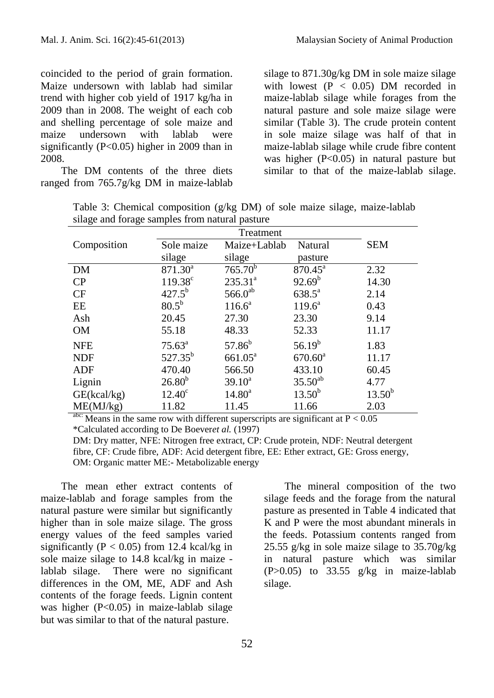coincided to the period of grain formation. Maize undersown with lablab had similar trend with higher cob yield of 1917 kg/ha in 2009 than in 2008. The weight of each cob and shelling percentage of sole maize and maize undersown with lablab were significantly (P<0.05) higher in 2009 than in 2008.

The DM contents of the three diets ranged from 765.7g/kg DM in maize-lablab silage to 871.30g/kg DM in sole maize silage with lowest  $(P < 0.05)$  DM recorded in maize-lablab silage while forages from the natural pasture and sole maize silage were similar (Table 3). The crude protein content in sole maize silage was half of that in maize-lablab silage while crude fibre content was higher (P<0.05) in natural pasture but similar to that of the maize-lablab silage.

Table 3: Chemical composition (g/kg DM) of sole maize silage, maize-lablab silage and forage samples from natural pasture

|               | Treatment                           |                              |                                                                                   |
|---------------|-------------------------------------|------------------------------|-----------------------------------------------------------------------------------|
| Sole maize    | Maize+Lablab                        | Natural                      | <b>SEM</b>                                                                        |
| silage        | silage                              | pasture                      |                                                                                   |
| $871.30^a$    |                                     | $870.45^{\circ}$             | 2.32                                                                              |
|               | $235.31^{a}$                        |                              | 14.30                                                                             |
|               |                                     | $638.5^{\circ}$              | 2.14                                                                              |
| $80.5^{b}$    | $116.6^a$                           | $119.6^a$                    | 0.43                                                                              |
| 20.45         | 27.30                               | 23.30                        | 9.14                                                                              |
| 55.18         | 48.33                               | 52.33                        | 11.17                                                                             |
| $75.63^a$     | $57.86^{b}$                         | $56.19^{b}$                  | 1.83                                                                              |
| $527.35^{b}$  | $661.05^{\text{a}}$                 | $670.60^{\text{a}}$          | 11.17                                                                             |
| 470.40        | 566.50                              | 433.10                       | 60.45                                                                             |
| $26.80^{b}$   | $39.10^a$                           | $35.50^{ab}$                 | 4.77                                                                              |
| $12.40^\circ$ | $14.80^a$                           | $13.50^{b}$                  | $13.50^{b}$                                                                       |
| 11.82         | 11.45                               | 11.66                        | 2.03                                                                              |
|               | $119.38^c$<br>$427.5^{b}$<br>1 1 00 | $765.70^{b}$<br>$566.0^{ab}$ | $92.69^{\rm b}$<br>$\cdot$ $\sim$<br>$\sim$ $\sim$ $\sim$<br>$\sim$ $\sim$ $\sim$ |

Means in the same row with different superscripts are significant at  $P < 0.05$ \*Calculated according to De Boever*et al.* (1997)

DM: Dry matter, NFE: Nitrogen free extract, CP: Crude protein, NDF: Neutral detergent fibre, CF: Crude fibre, ADF: Acid detergent fibre, EE: Ether extract, GE: Gross energy, OM: Organic matter ME:- Metabolizable energy

The mean ether extract contents of maize-lablab and forage samples from the natural pasture were similar but significantly higher than in sole maize silage. The gross energy values of the feed samples varied significantly ( $P < 0.05$ ) from 12.4 kcal/kg in sole maize silage to 14.8 kcal/kg in maize lablab silage. There were no significant differences in the OM, ME, ADF and Ash contents of the forage feeds. Lignin content was higher  $(P<0.05)$  in maize-lablab silage but was similar to that of the natural pasture.

The mineral composition of the two silage feeds and the forage from the natural pasture as presented in Table 4 indicated that K and P were the most abundant minerals in the feeds. Potassium contents ranged from 25.55 g/kg in sole maize silage to 35.70g/kg in natural pasture which was similar  $(P>0.05)$  to 33.55 g/kg in maize-lablab silage.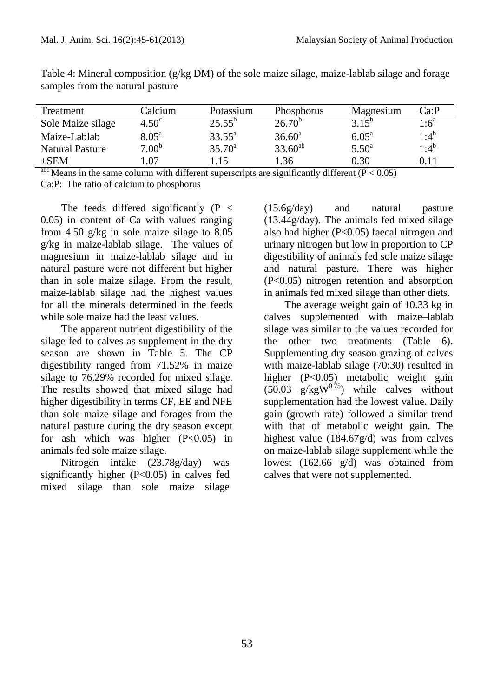| Treatment              | Calcium           | Potassium       | <b>Phosphorus</b> | Magnesium      | Ca:P               |
|------------------------|-------------------|-----------------|-------------------|----------------|--------------------|
| Sole Maize silage      | 4.50 <sup>c</sup> | $25.55^{o}$     | $26.70^{\circ}$   | $3.15^{\circ}$ | $1:6^{\mathrm{a}}$ |
| Maize-Lablab           | 8.05 <sup>a</sup> | $33.55^{\circ}$ | $36.60^a$         | $6.05^{\circ}$ | $1:4^b$            |
| <b>Natural Pasture</b> | 7.00 <sup>b</sup> | $35.70^{\circ}$ | $33.60^{ab}$      | $5.50^{\circ}$ | $1:4^b$            |
| $\pm$ SEM              | .07               | l 15            | 1.36              | 0.30           | 0.11               |

Table 4: Mineral composition (g/kg DM) of the sole maize silage, maize-lablab silage and forage samples from the natural pasture

Means in the same column with different superscripts are significantly different ( $P < 0.05$ ) Ca:P: The ratio of calcium to phosphorus

The feeds differed significantly  $(P \leq$ 0.05) in content of Ca with values ranging from 4.50 g/kg in sole maize silage to 8.05 g/kg in maize-lablab silage. The values of magnesium in maize-lablab silage and in natural pasture were not different but higher than in sole maize silage. From the result, maize-lablab silage had the highest values for all the minerals determined in the feeds while sole maize had the least values.

The apparent nutrient digestibility of the silage fed to calves as supplement in the dry season are shown in Table 5. The CP digestibility ranged from 71.52% in maize silage to 76.29% recorded for mixed silage. The results showed that mixed silage had higher digestibility in terms CF, EE and NFE than sole maize silage and forages from the natural pasture during the dry season except for ash which was higher  $(P<0.05)$  in animals fed sole maize silage.

Nitrogen intake (23.78g/day) was significantly higher (P<0.05) in calves fed mixed silage than sole maize silage (15.6g/day) and natural pasture (13.44g/day). The animals fed mixed silage also had higher (P<0.05) faecal nitrogen and urinary nitrogen but low in proportion to CP digestibility of animals fed sole maize silage and natural pasture. There was higher (P<0.05) nitrogen retention and absorption in animals fed mixed silage than other diets.

The average weight gain of 10.33 kg in calves supplemented with maize–lablab silage was similar to the values recorded for the other two treatments (Table 6). Supplementing dry season grazing of calves with maize-lablab silage (70:30) resulted in higher (P<0.05) metabolic weight gain  $(50.03 \text{ g/kgW}^{0.75})$  while calves without supplementation had the lowest value. Daily gain (growth rate) followed a similar trend with that of metabolic weight gain. The highest value (184.67g/d) was from calves on maize-lablab silage supplement while the lowest (162.66 g/d) was obtained from calves that were not supplemented.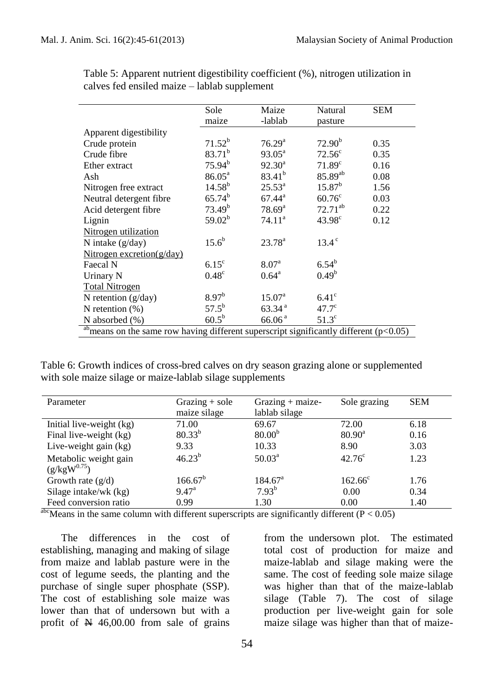|                                                                                                       | Sole               | Maize              | Natural            | <b>SEM</b> |
|-------------------------------------------------------------------------------------------------------|--------------------|--------------------|--------------------|------------|
|                                                                                                       | maize              | -lablab            | pasture            |            |
| Apparent digestibility                                                                                |                    |                    |                    |            |
| Crude protein                                                                                         | $71.52^{b}$        | 76.29 <sup>a</sup> | 72.90 <sup>b</sup> | 0.35       |
| Crude fibre                                                                                           | $83.71^{b}$        | $93.05^{\text{a}}$ | $72.56^{\circ}$    | 0.35       |
| Ether extract                                                                                         | $75.94^{b}$        | $92.30^a$          | $71.89^{\circ}$    | 0.16       |
| Ash                                                                                                   | $86.05^{\circ}$    | $83.41^{b}$        | 85.89ab            | 0.08       |
| Nitrogen free extract                                                                                 | $14.58^{b}$        | $25.53^{\circ}$    | $15.87^{b}$        | 1.56       |
| Neutral detergent fibre                                                                               | $65.74^{b}$        | $67.44^{\rm a}$    | $60.76^{\circ}$    | 0.03       |
| Acid detergent fibre                                                                                  | 73.49 <sup>b</sup> | $78.69^{\rm a}$    | $72.71^{ab}$       | 0.22       |
| Lignin                                                                                                | $59.02^{b}$        | 74.11 <sup>a</sup> | $43.98^{\circ}$    | 0.12       |
| Nitrogen utilization                                                                                  |                    |                    |                    |            |
| N intake $(g/day)$                                                                                    | $15.6^{b}$         | $23.78^{a}$        | $13.4^{\circ}$     |            |
| Nitrogen excretion( $g$ /day)                                                                         |                    |                    |                    |            |
| Faecal N                                                                                              | $6.15^{\circ}$     | 8.07 <sup>a</sup>  | $6.54^{b}$         |            |
| Urinary N                                                                                             | $0.48^\circ$       | $0.64^{\rm a}$     | $0.49^b$           |            |
| <b>Total Nitrogen</b>                                                                                 |                    |                    |                    |            |
| N retention (g/day)                                                                                   | $8.97^{b}$         | $15.07^{\rm a}$    | $6.41^\circ$       |            |
| N retention $(\%)$                                                                                    | $57.5^{b}$         | 63.34 <sup>a</sup> | $47.7^\circ$       |            |
| N absorbed (%)                                                                                        | $60.5^b$           | 66.06 <sup>a</sup> | $51.3^\circ$       |            |
| <sup>ab</sup> means on the same row having different superscript significantly different ( $p<0.05$ ) |                    |                    |                    |            |

Table 5: Apparent nutrient digestibility coefficient (%), nitrogen utilization in calves fed ensiled maize – lablab supplement

Table 6: Growth indices of cross-bred calves on dry season grazing alone or supplemented with sole maize silage or maize-lablab silage supplements

| Parameter                                              | Grazing $+$ sole<br>maize silage | $Grazing + maize-$<br>lablab silage | Sole grazing       | <b>SEM</b> |
|--------------------------------------------------------|----------------------------------|-------------------------------------|--------------------|------------|
| Initial live-weight (kg)                               | 71.00                            | 69.67                               | 72.00              | 6.18       |
| Final live-weight (kg)                                 | $80.33^{b}$                      | 80.00 <sup>b</sup>                  | $80.90^{\text{a}}$ | 0.16       |
| Live-weight gain $(kg)$                                | 9.33                             | 10.33                               | 8.90               | 3.03       |
| Metabolic weight gain<br>$(g/kgW^{0.75})$              | $46.23^{b}$                      | $50.03^{\text{a}}$                  | $42.76^{\circ}$    | 1.23       |
| Growth rate $(g/d)$                                    | $166.67^b$                       | $184.67^{\circ}$                    | $162.66^{\circ}$   | 1.76       |
| Silage intake/wk (kg)                                  | $9.47^{\rm a}$                   | $7.93^{b}$                          | 0.00               | 0.34       |
| Feed conversion ratio<br>she is a set of $\mathcal{L}$ | 0.99<br>$\cdots$                 | 1.30                                | 0.00               | 1.40       |

<sup>abc</sup>Means in the same column with different superscripts are significantly different ( $P < 0.05$ )

The differences in the cost of establishing, managing and making of silage from maize and lablab pasture were in the cost of legume seeds, the planting and the purchase of single super phosphate (SSP). The cost of establishing sole maize was lower than that of undersown but with a profit of  $\cancel{\text{N}}$  46,00.00 from sale of grains

from the undersown plot. The estimated total cost of production for maize and maize-lablab and silage making were the same. The cost of feeding sole maize silage was higher than that of the maize-lablab silage (Table 7). The cost of silage production per live-weight gain for sole maize silage was higher than that of maize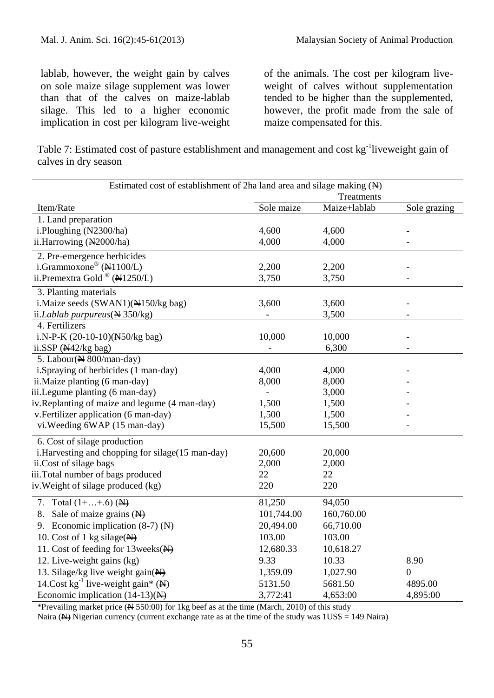lablab, however, the weight gain by calves on sole maize silage supplement was lower than that of the calves on maize-lablab silage. This led to a higher economic implication in cost per kilogram live-weight

of the animals. The cost per kilogram liveweight of calves without supplementation tended to be higher than the supplemented, however, the profit made from the sale of maize compensated for this.

Table 7: Estimated cost of pasture establishment and management and cost kg<sup>-1</sup>liveweight gain of calves in dry season

| Estimated cost of establishment of 2ha land area and silage making (N) | Treatments |              |                  |
|------------------------------------------------------------------------|------------|--------------|------------------|
| Item/Rate                                                              | Sole maize | Maize+lablab | Sole grazing     |
| 1. Land preparation                                                    |            |              |                  |
| i.Ploughing (N2300/ha)                                                 | 4,600      | 4,600        |                  |
| ii.Harrowing (N2000/ha)                                                | 4,000      | 4,000        |                  |
| 2. Pre-emergence herbicides                                            |            |              |                  |
| i.Grammoxone® (N1100/L)                                                | 2,200      | 2,200        |                  |
| ii.<br>Premextra Gold<br>$^\circledR$ (N1250/L)                        | 3,750      | 3,750        |                  |
| 3. Planting materials                                                  |            |              |                  |
| i.Maize seeds (SWAN1)(NH50/kg bag)                                     | 3,600      | 3,600        |                  |
| ii. <i>Lablab</i> purpureus ( $\angle$ 350/kg)                         |            | 3,500        |                  |
| 4. Fertilizers                                                         |            |              |                  |
| i.N-P-K (20-10-10)(N50/kg bag)                                         | 10,000     | 10,000       |                  |
| ii.SSP $(A42/kg$ bag)                                                  |            | 6,300        |                  |
| 5. Labour(N 800/man-day)                                               |            |              |                  |
| i.Spraying of herbicides (1 man-day)                                   | 4,000      | 4,000        |                  |
| ii. Maize planting (6 man-day)                                         | 8,000      | 8,000        |                  |
| iii.Legume planting (6 man-day)                                        |            | 3,000        |                  |
| iv.Replanting of maize and legume (4 man-day)                          | 1,500      | 1,500        |                  |
| v. Fertilizer application (6 man-day)                                  | 1,500      | 1,500        |                  |
| vi. Weeding 6WAP (15 man-day)                                          | 15,500     | 15,500       |                  |
| 6. Cost of silage production                                           |            |              |                  |
| i. Harvesting and chopping for silage(15 man-day)                      | 20,600     | 20,000       |                  |
| ii.Cost of silage bags                                                 | 2,000      | 2,000        |                  |
| iii.Total number of bags produced                                      | 22         | 22           |                  |
| iv. Weight of silage produced (kg)                                     | 220        | 220          |                  |
| 7. Total $(1 +  + .6)$ (N)                                             | 81,250     | 94,050       |                  |
| 8. Sale of maize grains $(\overrightarrow{N})$                         | 101,744.00 | 160,760.00   |                  |
| 9. Economic implication $(8-7)$ (N)                                    | 20,494.00  | 66,710.00    |                  |
| 10. Cost of 1 kg silage( $\overrightarrow{H}$ )                        | 103.00     | 103.00       |                  |
| 11. Cost of feeding for 13 weeks (N)                                   | 12,680.33  | 10,618.27    |                  |
| 12. Live-weight gains (kg)                                             | 9.33       | 10.33        | 8.90             |
| 13. Silage/kg live weight gain(N)                                      | 1,359.09   | 1,027.90     | $\boldsymbol{0}$ |
| 14. Cost $kg^{-1}$ live-weight gain* ( $\bigstar$ )                    | 5131.50    | 5681.50      | 4895.00          |
| Economic implication $(14-13)(\frac{N}{N})$                            | 3,772:41   | 4,653:00     | 4,895:00         |

\*Prevailing market price  $(\frac{N}{2} 550:00)$  for 1kg beef as at the time (March, 2010) of this study

Naira ( $\rightarrow$ ) Nigerian currency (current exchange rate as at the time of the study was  $1US\$  = 149 Naira)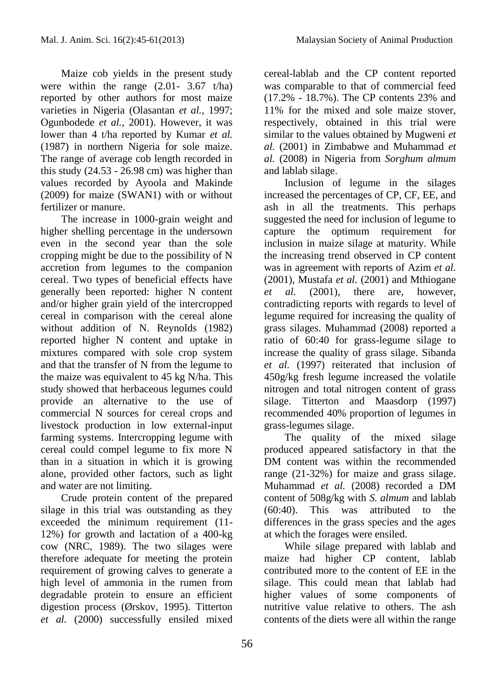Maize cob yields in the present study were within the range  $(2.01 - 3.67 \text{ t/ha})$ reported by other authors for most maize varieties in Nigeria (Olasantan *et al.,* 1997; Ogunbodede *et al.,* 2001). However, it was lower than 4 t/ha reported by Kumar *et al.*  (1987) in northern Nigeria for sole maize. The range of average cob length recorded in this study  $(24.53 - 26.98 \text{ cm})$  was higher than values recorded by Ayoola and Makinde (2009) for maize (SWAN1) with or without fertilizer or manure.

The increase in 1000-grain weight and higher shelling percentage in the undersown even in the second year than the sole cropping might be due to the possibility of N accretion from legumes to the companion cereal. Two types of beneficial effects have generally been reported: higher N content and/or higher grain yield of the intercropped cereal in comparison with the cereal alone without addition of N. Reynolds (1982) reported higher N content and uptake in mixtures compared with sole crop system and that the transfer of N from the legume to the maize was equivalent to 45 kg N/ha. This study showed that herbaceous legumes could provide an alternative to the use of commercial N sources for cereal crops and livestock production in low external-input farming systems. Intercropping legume with cereal could compel legume to fix more N than in a situation in which it is growing alone, provided other factors, such as light and water are not limiting.

Crude protein content of the prepared silage in this trial was outstanding as they exceeded the minimum requirement (11- 12%) for growth and lactation of a 400-kg cow (NRC, 1989). The two silages were therefore adequate for meeting the protein requirement of growing calves to generate a high level of ammonia in the rumen from degradable protein to ensure an efficient digestion process (Ørskov, 1995). Titterton *et al.* (2000) successfully ensiled mixed cereal-lablab and the CP content reported was comparable to that of commercial feed (17.2% - 18.7%). The CP contents 23% and 11% for the mixed and sole maize stover, respectively, obtained in this trial were similar to the values obtained by Mugweni *et al.* (2001) in Zimbabwe and Muhammad *et al.* (2008) in Nigeria from *Sorghum almum* and lablab silage.

Inclusion of legume in the silages increased the percentages of CP, CF, EE, and ash in all the treatments. This perhaps suggested the need for inclusion of legume to capture the optimum requirement for inclusion in maize silage at maturity. While the increasing trend observed in CP content was in agreement with reports of Azim *et al.*  (2001), Mustafa *et al.* (2001) and Mthiogane *et al.* (2001), there are, however, contradicting reports with regards to level of legume required for increasing the quality of grass silages. Muhammad (2008) reported a ratio of 60:40 for grass-legume silage to increase the quality of grass silage. Sibanda *et al.* (1997) reiterated that inclusion of 450g/kg fresh legume increased the volatile nitrogen and total nitrogen content of grass silage. Titterton and Maasdorp (1997) recommended 40% proportion of legumes in grass-legumes silage.

The quality of the mixed silage produced appeared satisfactory in that the DM content was within the recommended range (21-32%) for maize and grass silage. Muhammad *et al.* (2008) recorded a DM content of 508g/kg with *S. almum* and lablab (60:40). This was attributed to the differences in the grass species and the ages at which the forages were ensiled.

While silage prepared with lablab and maize had higher CP content, lablab contributed more to the content of EE in the silage. This could mean that lablab had higher values of some components of nutritive value relative to others. The ash contents of the diets were all within the range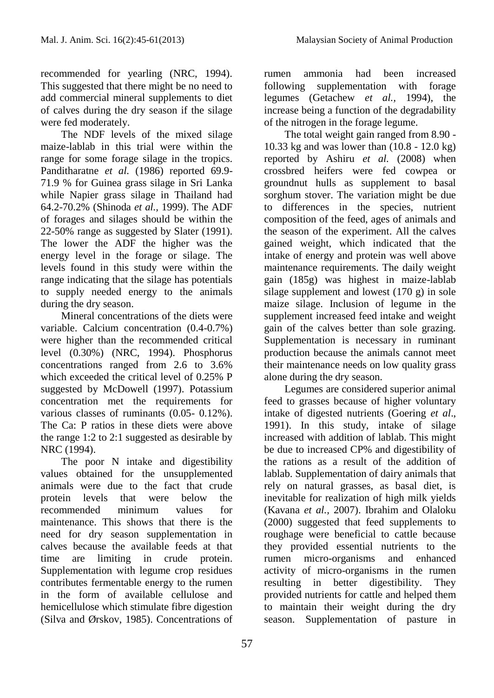recommended for yearling (NRC, 1994). This suggested that there might be no need to add commercial mineral supplements to diet of calves during the dry season if the silage were fed moderately.

The NDF levels of the mixed silage maize-lablab in this trial were within the range for some forage silage in the tropics. Panditharatne *et al.* (1986) reported 69.9- 71.9 % for Guinea grass silage in Sri Lanka while Napier grass silage in Thailand had 64.2-70.2% (Shinoda *et al.,* 1999). The ADF of forages and silages should be within the 22-50% range as suggested by Slater (1991). The lower the ADF the higher was the energy level in the forage or silage. The levels found in this study were within the range indicating that the silage has potentials to supply needed energy to the animals during the dry season.

Mineral concentrations of the diets were variable. Calcium concentration (0.4-0.7%) were higher than the recommended critical level (0.30%) (NRC, 1994). Phosphorus concentrations ranged from 2.6 to 3.6% which exceeded the critical level of 0.25% P suggested by McDowell (1997). Potassium concentration met the requirements for various classes of ruminants (0.05- 0.12%). The Ca: P ratios in these diets were above the range 1:2 to 2:1 suggested as desirable by NRC (1994).

The poor N intake and digestibility values obtained for the unsupplemented animals were due to the fact that crude protein levels that were below the recommended minimum values for maintenance. This shows that there is the need for dry season supplementation in calves because the available feeds at that time are limiting in crude protein. Supplementation with legume crop residues contributes fermentable energy to the rumen in the form of available cellulose and hemicellulose which stimulate fibre digestion (Silva and Ørskov, 1985). Concentrations of

rumen ammonia had been increased following supplementation with forage legumes (Getachew *et al.,* 1994), the increase being a function of the degradability of the nitrogen in the forage legume.

The total weight gain ranged from 8.90 - 10.33 kg and was lower than (10.8 - 12.0 kg) reported by Ashiru *et al.* (2008) when crossbred heifers were fed cowpea or groundnut hulls as supplement to basal sorghum stover. The variation might be due to differences in the species, nutrient composition of the feed, ages of animals and the season of the experiment. All the calves gained weight, which indicated that the intake of energy and protein was well above maintenance requirements. The daily weight gain (185g) was highest in maize-lablab silage supplement and lowest (170 g) in sole maize silage. Inclusion of legume in the supplement increased feed intake and weight gain of the calves better than sole grazing. Supplementation is necessary in ruminant production because the animals cannot meet their maintenance needs on low quality grass alone during the dry season.

Legumes are considered superior animal feed to grasses because of higher voluntary intake of digested nutrients (Goering *et al*., 1991). In this study, intake of silage increased with addition of lablab. This might be due to increased CP% and digestibility of the rations as a result of the addition of lablab. Supplementation of dairy animals that rely on natural grasses, as basal diet, is inevitable for realization of high milk yields (Kavana *et al.,* 2007). Ibrahim and Olaloku (2000) suggested that feed supplements to roughage were beneficial to cattle because they provided essential nutrients to the rumen micro-organisms and enhanced activity of micro-organisms in the rumen resulting in better digestibility. They provided nutrients for cattle and helped them to maintain their weight during the dry season. Supplementation of pasture in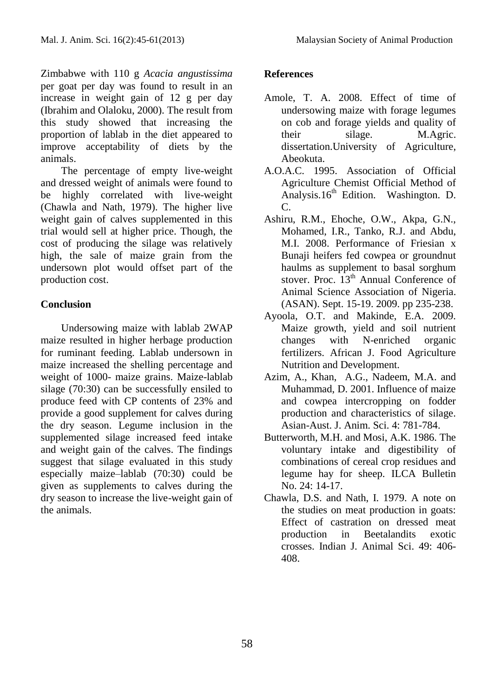Zimbabwe with 110 g *Acacia angustissima*  per goat per day was found to result in an increase in weight gain of 12 g per day (Ibrahim and Olaloku, 2000). The result from this study showed that increasing the proportion of lablab in the diet appeared to improve acceptability of diets by the animals.

The percentage of empty live-weight and dressed weight of animals were found to be highly correlated with live-weight (Chawla and Nath, 1979). The higher live weight gain of calves supplemented in this trial would sell at higher price. Though, the cost of producing the silage was relatively high, the sale of maize grain from the undersown plot would offset part of the production cost.

# **Conclusion**

Undersowing maize with lablab 2WAP maize resulted in higher herbage production for ruminant feeding. Lablab undersown in maize increased the shelling percentage and weight of 1000- maize grains. Maize-lablab silage (70:30) can be successfully ensiled to produce feed with CP contents of 23% and provide a good supplement for calves during the dry season. Legume inclusion in the supplemented silage increased feed intake and weight gain of the calves. The findings suggest that silage evaluated in this study especially maize–lablab (70:30) could be given as supplements to calves during the dry season to increase the live-weight gain of the animals.

## **References**

- Amole, T. A. 2008. Effect of time of undersowing maize with forage legumes on cob and forage yields and quality of their silage. M.Agric. dissertation.University of Agriculture, Abeokuta.
- A.O.A.C. 1995. Association of Official Agriculture Chemist Official Method of Analysis.16<sup>th</sup> Edition. Washington. D. C.
- Ashiru, R.M., Ehoche, O.W., Akpa, G.N., Mohamed, I.R., Tanko, R.J. and Abdu, M.I. 2008. Performance of Friesian x Bunaji heifers fed cowpea or groundnut haulms as supplement to basal sorghum stover. Proc. 13<sup>th</sup> Annual Conference of Animal Science Association of Nigeria. (ASAN). Sept. 15-19. 2009. pp 235-238.
- Ayoola, O.T. and Makinde, E.A. 2009. Maize growth, yield and soil nutrient changes with N-enriched organic fertilizers. African J. Food Agriculture Nutrition and Development.
- Azim, A., Khan, A.G., Nadeem, M.A. and Muhammad, D. 2001. Influence of maize and cowpea intercropping on fodder production and characteristics of silage. Asian-Aust. J. Anim. Sci. 4: 781-784.
- Butterworth, M.H. and Mosi, A.K. 1986. The voluntary intake and digestibility of combinations of cereal crop residues and legume hay for sheep. ILCA Bulletin No. 24: 14-17.
- Chawla, D.S. and Nath, I. 1979. A note on the studies on meat production in goats: Effect of castration on dressed meat production in Beetalandits exotic crosses. Indian J. Animal Sci. 49: 406- 408.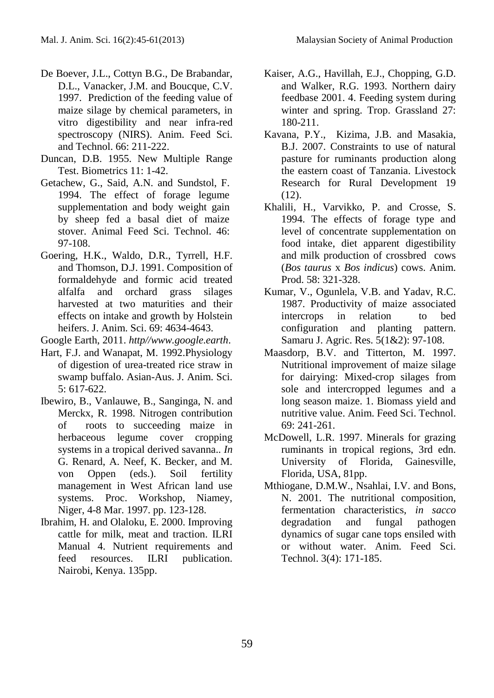- De Boever, J.L., Cottyn B.G., De Brabandar, D.L., Vanacker, J.M. and Boucque, C.V. 1997. Prediction of the feeding value of maize silage by chemical parameters, in vitro digestibility and near infra-red spectroscopy (NIRS). Anim. Feed Sci. and Technol. 66: 211-222.
- Duncan, D.B. 1955. New Multiple Range Test. Biometrics 11: 1-42.
- Getachew, G., Said, A.N. and Sundstol, F. 1994. The effect of forage legume supplementation and body weight gain by sheep fed a basal diet of maize stover. Animal Feed Sci. Technol. 46: 97-108.
- Goering, H.K., Waldo, D.R., Tyrrell, H.F. and Thomson, D.J. 1991. Composition of formaldehyde and formic acid treated alfalfa and orchard grass silages harvested at two maturities and their effects on intake and growth by Holstein heifers. J. Anim. Sci. 69: 4634-4643.
- Google Earth, 2011. *http//www.google.earth*.
- Hart, F.J. and Wanapat, M. 1992.Physiology of digestion of urea-treated rice straw in swamp buffalo. Asian-Aus. J. Anim. Sci*.*  $5: 617-622$
- Ibewiro, B., Vanlauwe, B., Sanginga, N. and Merckx, R. 1998. Nitrogen contribution of roots to succeeding maize in herbaceous legume cover cropping systems in a tropical derived savanna.. *In*  G. Renard, A. Neef, K. Becker, and M. von Oppen (eds.). Soil fertility management in West African land use systems. Proc. Workshop, Niamey, Niger, 4-8 Mar. 1997. pp. 123-128.
- Ibrahim, H. and Olaloku, E. 2000. Improving cattle for milk, meat and traction. ILRI Manual 4. Nutrient requirements and feed resources. ILRI publication. Nairobi, Kenya. 135pp.
- Kaiser, A.G., Havillah, E.J., Chopping, G.D. and Walker, R.G. 1993. Northern dairy feedbase 2001. 4. Feeding system during winter and spring. Trop. Grassland 27: 180-211.
- Kavana, P.Y., Kizima, J.B. and Masakia, B.J. 2007. Constraints to use of natural pasture for ruminants production along the eastern coast of Tanzania. [Livestock](http://www.lrrd.org/lrrd19/12/cont1912.htm)  [Research for Rural Development 19](http://www.lrrd.org/lrrd19/12/cont1912.htm)  [\(12\).](http://www.lrrd.org/lrrd19/12/cont1912.htm)
- Khalili, H., Varvikko, P. and Crosse, S. 1994. The effects of forage type and level of concentrate supplementation on food intake, diet apparent digestibility and milk production of crossbred cows (*Bos taurus* x *Bos indicus*) cows. Anim. Prod.  $58: 321-328$ .
- Kumar, V., Ogunlela, V.B. and Yadav, R.C. 1987. Productivity of maize associated intercrops in relation to bed configuration and planting pattern. Samaru J. Agric. Res. 5(1&2): 97-108.
- Maasdorp, B.V. and Titterton, M. 1997. Nutritional improvement of maize silage for dairying: Mixed-crop silages from sole and intercropped legumes and a long season maize. 1. Biomass yield and nutritive value. Anim. Feed Sci. Technol. 69: 241-261.
- McDowell, L.R. 1997. Minerals for grazing ruminants in tropical regions, 3rd edn. University of Florida, Gainesville, Florida, USA, 81pp.
- Mthiogane, D.M.W., Nsahlai, I.V. and Bons, N. 2001. The nutritional composition, fermentation characteristics, *in sacco* degradation and fungal pathogen dynamics of sugar cane tops ensiled with or without water. Anim. Feed Sci. Technol. 3(4): 171-185.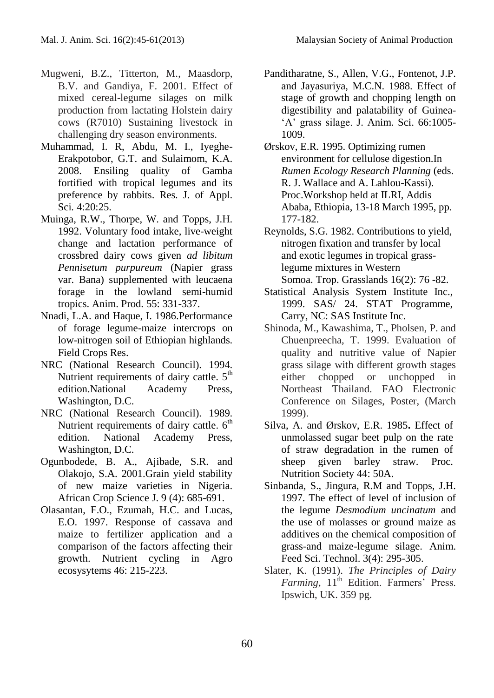- Mugweni, B.Z., Titterton, M., Maasdorp, B.V. and Gandiya, F. 2001. Effect of mixed cereal-legume silages on milk production from lactating Holstein dairy cows (R7010) Sustaining livestock in challenging dry season environments.
- Muhammad, I. R, Abdu, M. I., Iyeghe-Erakpotobor, G.T. and Sulaimom, K.A. 2008. Ensiling quality of Gamba fortified with tropical legumes and its preference by rabbits. Res. J. of Appl. Sci*.* 4:20:25.
- Muinga, R.W., Thorpe, W. and Topps, J.H. 1992. Voluntary food intake, live-weight change and lactation performance of crossbred dairy cows given *ad libitum Pennisetum purpureum* (Napier grass var. Bana) supplemented with leucaena forage in the lowland semi-humid tropics. Anim. Prod*.* 55: 331-337.
- Nnadi, L.A. and Haque, I. 1986.Performance of forage legume-maize intercrops on low-nitrogen soil of Ethiopian highlands. Field Crops Res.
- NRC (National Research Council). 1994. Nutrient requirements of dairy cattle.  $5<sup>th</sup>$ edition.National Academy Press, Washington, D.C.
- NRC (National Research Council). 1989. Nutrient requirements of dairy cattle.  $6<sup>th</sup>$ edition. National Academy Press, Washington, D.C.
- Ogunbodede, B. A., Ajibade, S.R. and Olakojo, S.A. 2001.Grain yield stability of new maize varieties in Nigeria. African Crop Science J. 9 (4): 685-691.
- Olasantan, F.O., Ezumah, H.C. and Lucas, E.O. 1997. Response of cassava and maize to fertilizer application and a comparison of the factors affecting their growth. Nutrient cycling in Agro ecosysytems 46: 215-223.

Panditharatne, S., Allen, V.G., Fontenot, J.P. and Jayasuriya, M.C.N. 1988. Effect of stage of growth and chopping length on digestibility and palatability of Guinea- 'A' grass silage. J. Anim. Sci. 66:1005- 1009.

Ørskov, E.R. 1995. Optimizing rumen environment for cellulose digestion.In *Rumen Ecology Research Planning* (eds. R. J. Wallace and A. Lahlou-Kassi). Proc.Workshop held at ILRI, Addis Ababa, Ethiopia, 13-18 March 1995, pp. 177-182.

Reynolds, S.G. 1982. Contributions to yield, nitrogen fixation and transfer by local and exotic legumes in tropical grasslegume mixtures in Western Somoa. Trop. Grasslands 16(2): 76 -82.

- Statistical Analysis System Institute Inc., 1999. SAS/ 24. STAT Programme, Carry, NC: SAS Institute Inc.
- Shinoda, M., Kawashima, T., Pholsen, P. and Chuenpreecha, T. 1999. Evaluation of quality and nutritive value of Napier grass silage with different growth stages either chopped or unchopped in Northeast Thailand. FAO Electronic Conference on Silages, Poster, (March 1999).
- Silva, A. and Ørskov, E.R. 1985**.** Effect of unmolassed sugar beet pulp on the rate of straw degradation in the rumen of sheep given barley straw. Proc. Nutrition Society 44: 50A.
- Sinbanda, S., Jingura, R.M and Topps, J.H. 1997. The effect of level of inclusion of the legume *Desmodium uncinatum* and the use of molasses or ground maize as additives on the chemical composition of grass-and maize-legume silage. Anim. Feed Sci. Technol. 3(4): 295-305.
- Slater, K. (1991). *The Principles of Dairy Farming*, 11<sup>th</sup> Edition. Farmers' Press. Ipswich, UK. 359 pg.